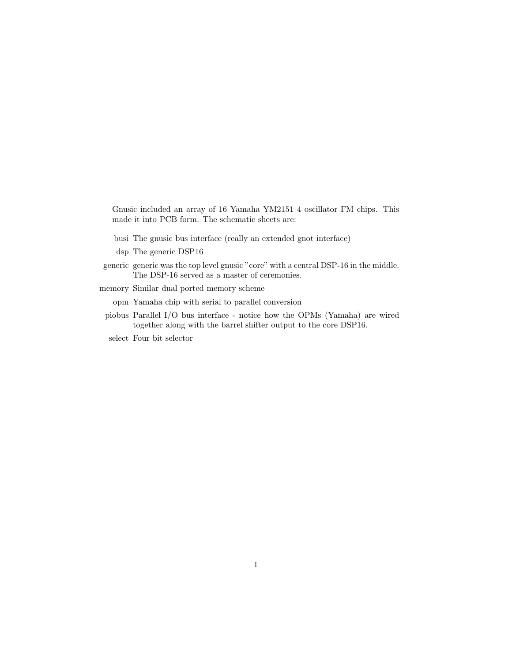Gnusic included an array of 16 Yamaha YM2151 4 oscillator FM chips. This made it into PCB form. The schematic sheets are:

- busi The gnusic bus interface (really an extended gnot interface)
- dsp The generic DSP16
- generic generic was the top level gnusic "core" with a central DSP-16 in the middle. The DSP-16 served as a master of ceremonies.
- memory Similar dual ported memory scheme
	- opm Yamaha chip with serial to parallel conversion
- piobus Parallel I/O bus interface notice how the OPMs (Yamaha) are wired together along with the barrel shifter output to the core DSP16.
- select Four bit selector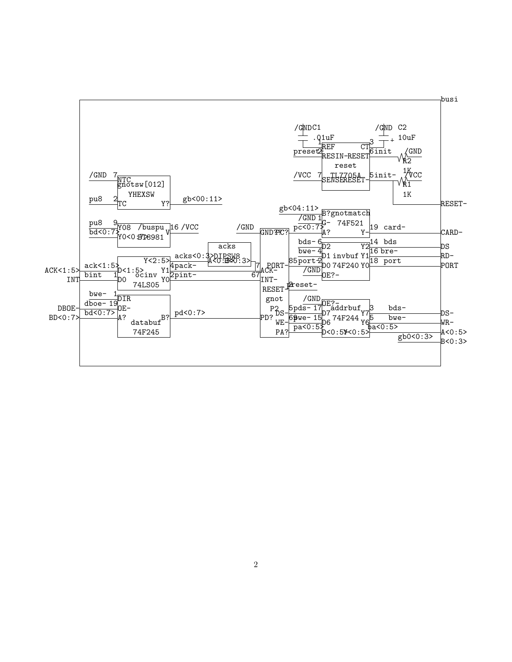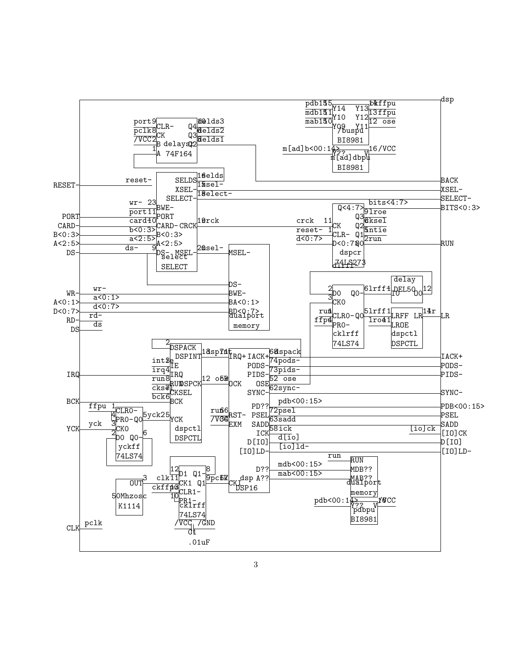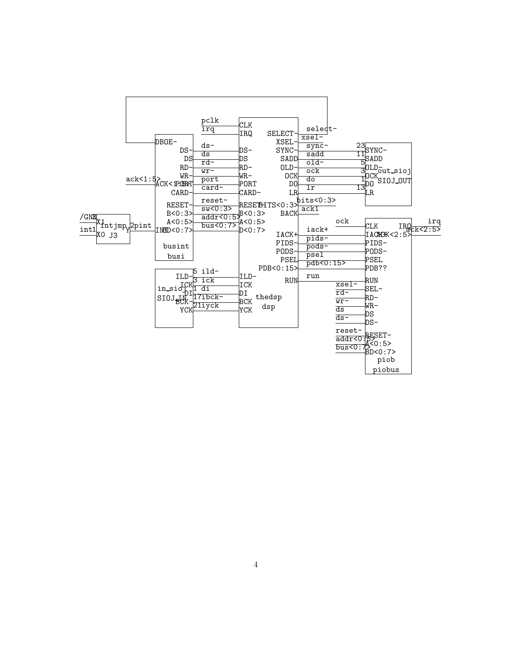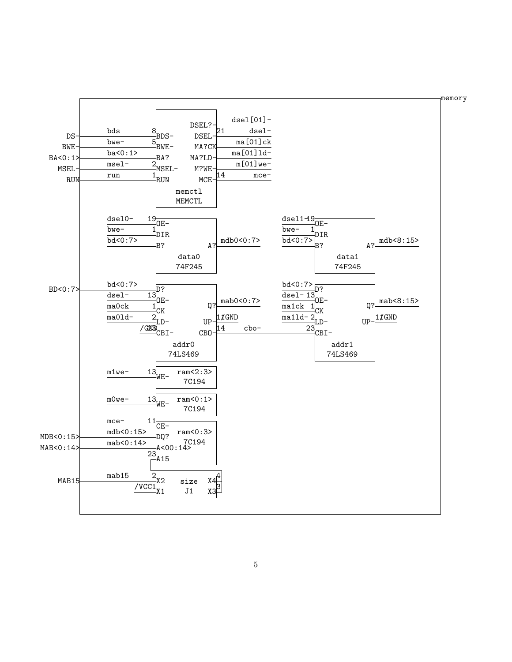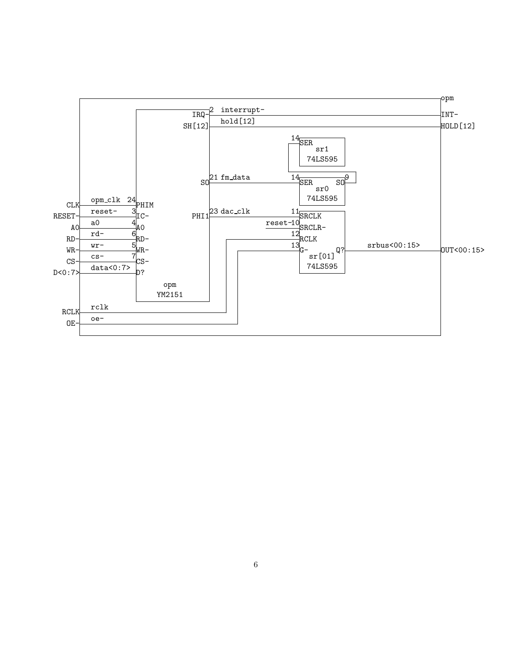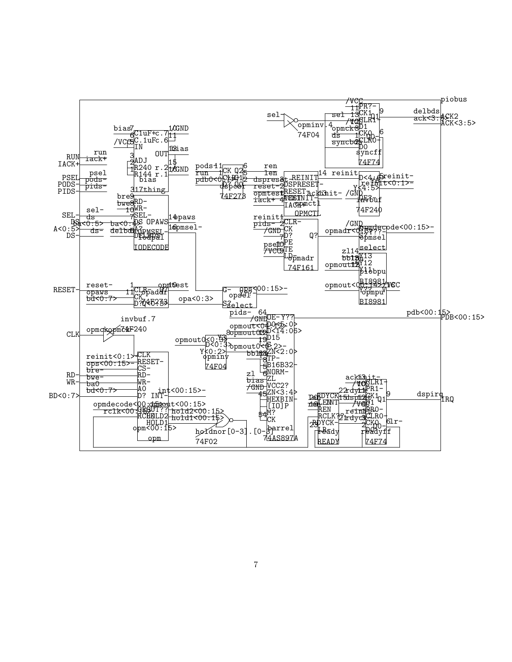